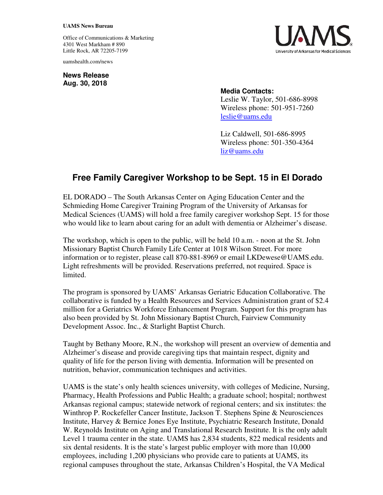## **UAMS News Bureau**

Office of Communications & Marketing 4301 West Markham # 890 Little Rock, AR 72205-7199

uamshealth.com/news

**News Release Aug. 30, 2018**



## **Media Contacts:**

Leslie W. Taylor, 501-686-8998 Wireless phone: 501-951-7260 [leslie@uams.edu](mailto:leslie@uams.edu)

Liz Caldwell, 501-686-8995 Wireless phone: 501-350-4364 [liz@uams.edu](mailto:liz@uams.edu)

## **Free Family Caregiver Workshop to be Sept. 15 in El Dorado**

EL DORADO – The South Arkansas Center on Aging Education Center and the Schmieding Home Caregiver Training Program of the University of Arkansas for Medical Sciences (UAMS) will hold a free family caregiver workshop Sept. 15 for those who would like to learn about caring for an adult with dementia or Alzheimer's disease.

The workshop, which is open to the public, will be held 10 a.m. - noon at the St. John Missionary Baptist Church Family Life Center at 1018 Wilson Street. For more information or to register, please call 870-881-8969 or email LKDewese@UAMS.edu. Light refreshments will be provided. Reservations preferred, not required. Space is limited.

The program is sponsored by UAMS' Arkansas Geriatric Education Collaborative. The collaborative is funded by a Health Resources and Services Administration grant of \$2.4 million for a Geriatrics Workforce Enhancement Program. Support for this program has also been provided by St. John Missionary Baptist Church, Fairview Community Development Assoc. Inc., & Starlight Baptist Church.

Taught by Bethany Moore, R.N., the workshop will present an overview of dementia and Alzheimer's disease and provide caregiving tips that maintain respect, dignity and quality of life for the person living with dementia. Information will be presented on nutrition, behavior, communication techniques and activities.

UAMS is the state's only health sciences university, with colleges of Medicine, Nursing, Pharmacy, Health Professions and Public Health; a graduate school; hospital; northwest Arkansas regional campus; statewide network of regional centers; and six institutes: the Winthrop P. Rockefeller Cancer Institute, Jackson T. Stephens Spine & Neurosciences Institute, Harvey & Bernice Jones Eye Institute, Psychiatric Research Institute, Donald W. Reynolds Institute on Aging and Translational Research Institute. It is the only adult Level 1 trauma center in the state. UAMS has 2,834 students, 822 medical residents and six dental residents. It is the state's largest public employer with more than 10,000 employees, including 1,200 physicians who provide care to patients at UAMS, its regional campuses throughout the state, Arkansas Children's Hospital, the VA Medical